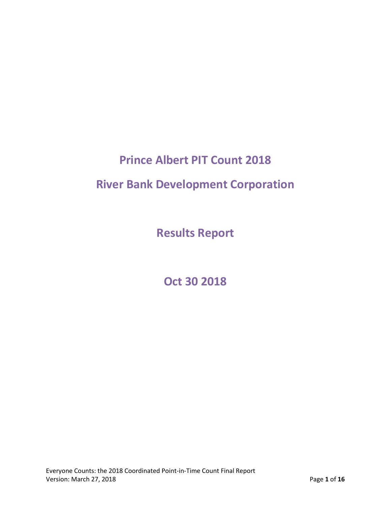# **Prince Albert PIT Count 2018**

# **River Bank Development Corporation**

**Results Report**

**Oct 30 2018**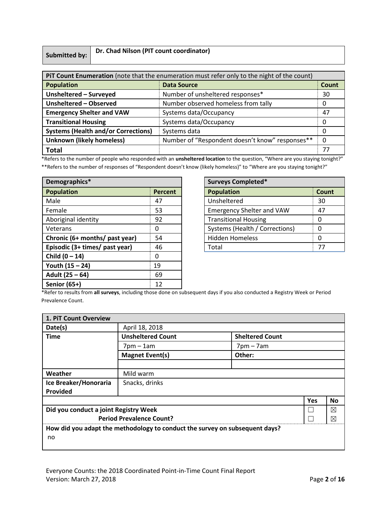# **Submitted by: Dr. Chad Nilson (PIT count coordinator)**

| PIT Count Enumeration (note that the enumeration must refer only to the night of the count) |                                  |    |  |
|---------------------------------------------------------------------------------------------|----------------------------------|----|--|
| <b>Population</b><br><b>Data Source</b>                                                     |                                  |    |  |
| Unsheltered - Surveyed                                                                      | Number of unsheltered responses* | 30 |  |
| Unsheltered - Observed<br>Number observed homeless from tally                               |                                  | O  |  |
| <b>Emergency Shelter and VAW</b>                                                            | Systems data/Occupancy           | 47 |  |
| <b>Transitional Housing</b>                                                                 | Systems data/Occupancy           | 0  |  |
| <b>Systems (Health and/or Corrections)</b><br>Systems data                                  |                                  | O  |  |
| Number of "Respondent doesn't know" responses**<br><b>Unknown (likely homeless)</b>         |                                  | 0  |  |
| <b>Total</b><br>77                                                                          |                                  |    |  |

\*Refers to the number of people who responded with an **unsheltered location** to the question, "Where are you staying tonight?"

\*\*Refers to the number of responses of "Respondent doesn't know (likely homeless)" to "Where are you staying tonight?"

| Demographics*                  |                | <b>Surveys Completed*</b>        |       |  |
|--------------------------------|----------------|----------------------------------|-------|--|
| <b>Population</b>              | <b>Percent</b> | <b>Population</b>                | Count |  |
| Male                           | 47             | Unsheltered                      | 30    |  |
| Female                         | 53             | <b>Emergency Shelter and VAW</b> | 47    |  |
| Aboriginal identity            | 92             | <b>Transitional Housing</b>      | 0     |  |
| Veterans                       | 0              | Systems (Health / Corrections)   | 0     |  |
| Chronic (6+ months/ past year) | 54             | <b>Hidden Homeless</b>           | 0     |  |
| Episodic (3+ times/ past year) | 46             | Total                            | 77    |  |
| Child $(0 - 14)$               | 0              |                                  |       |  |
| Youth (15 - 24)                | 19             |                                  |       |  |
| Adult (25 - 64)                | 69             |                                  |       |  |
| Senior (65+)                   | 12             |                                  |       |  |

| <b>Surveys Completed*</b>        |       |  |  |
|----------------------------------|-------|--|--|
| <b>Population</b>                | Count |  |  |
| Unsheltered                      | 30    |  |  |
| <b>Emergency Shelter and VAW</b> | 47    |  |  |
| <b>Transitional Housing</b>      |       |  |  |
| Systems (Health / Corrections)   |       |  |  |
| <b>Hidden Homeless</b>           |       |  |  |
| Total                            | 77    |  |  |

\*Refer to results from **all surveys**, including those done on subsequent days if you also conducted a Registry Week or Period Prevalence Count.

| 1. PiT Count Overview                                                       |                                            |                        |  |  |  |
|-----------------------------------------------------------------------------|--------------------------------------------|------------------------|--|--|--|
| Date(s)                                                                     | April 18, 2018                             |                        |  |  |  |
| <b>Time</b>                                                                 | <b>Unsheltered Count</b>                   | <b>Sheltered Count</b> |  |  |  |
|                                                                             | $7$ pm $-1$ am                             | $7$ pm $-7$ am         |  |  |  |
|                                                                             | <b>Magnet Event(s)</b>                     | Other:                 |  |  |  |
|                                                                             |                                            |                        |  |  |  |
| Weather                                                                     | Mild warm                                  |                        |  |  |  |
| Ice Breaker/Honoraria                                                       | Snacks, drinks                             |                        |  |  |  |
| Provided                                                                    |                                            |                        |  |  |  |
| <b>Yes</b><br>No                                                            |                                            |                        |  |  |  |
|                                                                             | Did you conduct a joint Registry Week<br>⊠ |                        |  |  |  |
| <b>Period Prevalence Count?</b><br>$\boxtimes$                              |                                            |                        |  |  |  |
| How did you adapt the methodology to conduct the survey on subsequent days? |                                            |                        |  |  |  |
| no                                                                          |                                            |                        |  |  |  |
|                                                                             |                                            |                        |  |  |  |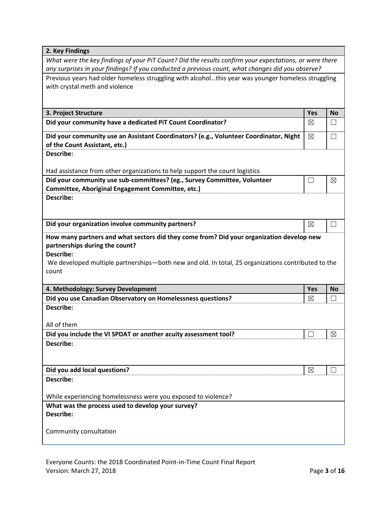| 2. Key Findings                                                                                                               |             |             |
|-------------------------------------------------------------------------------------------------------------------------------|-------------|-------------|
| What were the key findings of your PiT Count? Did the results confirm your expectations, or were there                        |             |             |
| any surprises in your findings? If you conducted a previous count, what changes did you observe?                              |             |             |
| Previous years had older homeless struggling with alcoholthis year was younger homeless struggling                            |             |             |
| with crystal meth and violence                                                                                                |             |             |
|                                                                                                                               |             |             |
| 3. Project Structure                                                                                                          | Yes         | <b>No</b>   |
| Did your community have a dedicated PiT Count Coordinator?                                                                    | $\boxtimes$ |             |
| Did your community use an Assistant Coordinators? (e.g., Volunteer Coordinator, Night                                         | $\boxtimes$ | П           |
| of the Count Assistant, etc.)                                                                                                 |             |             |
| Describe:                                                                                                                     |             |             |
|                                                                                                                               |             |             |
| Had assistance from other organizations to help support the count logistics                                                   |             |             |
| Did your community use sub-committees? (eg., Survey Committee, Volunteer<br>Committee, Aboriginal Engagement Committee, etc.) | $\Box$      | $\boxtimes$ |
| Describe:                                                                                                                     |             |             |
|                                                                                                                               |             |             |
|                                                                                                                               |             |             |
|                                                                                                                               |             |             |
| Did your organization involve community partners?                                                                             | ⊠           |             |
| How many partners and what sectors did they come from? Did your organization develop new                                      |             |             |
| partnerships during the count?                                                                                                |             |             |
| <b>Describe:</b>                                                                                                              |             |             |
| We developed multiple partnerships—both new and old. In total, 25 organizations contributed to the                            |             |             |
| count                                                                                                                         |             |             |
| 4. Methodology: Survey Development                                                                                            | Yes         | <b>No</b>   |
| Did you use Canadian Observatory on Homelessness questions?                                                                   | ⊠           |             |
| <b>Describe:</b>                                                                                                              |             |             |
|                                                                                                                               |             |             |
| All of them                                                                                                                   |             |             |
| Did you include the VI SPDAT or another acuity assessment tool?<br>Describe:                                                  |             | $\boxtimes$ |
|                                                                                                                               |             |             |
|                                                                                                                               |             |             |
| Did you add local questions?                                                                                                  | ⊠           |             |
| Describe:                                                                                                                     |             |             |
|                                                                                                                               |             |             |
| While experiencing homelessness were you exposed to violence?                                                                 |             |             |
| What was the process used to develop your survey?<br>Describe:                                                                |             |             |
|                                                                                                                               |             |             |
| Community consultation                                                                                                        |             |             |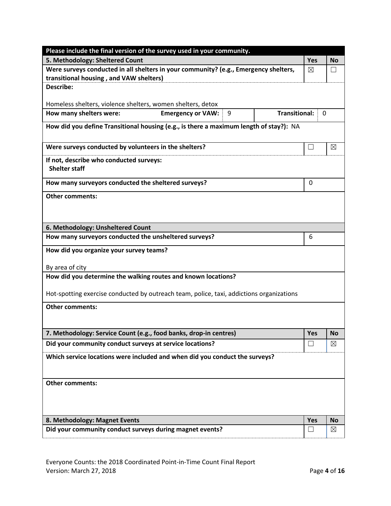| Please include the final version of the survey used in your community.                   |                   |             |  |  |  |
|------------------------------------------------------------------------------------------|-------------------|-------------|--|--|--|
| 5. Methodology: Sheltered Count                                                          | <b>Yes</b>        | <b>No</b>   |  |  |  |
| Were surveys conducted in all shelters in your community? (e.g., Emergency shelters,     | $\boxtimes$       |             |  |  |  |
| transitional housing, and VAW shelters)                                                  |                   |             |  |  |  |
| <b>Describe:</b>                                                                         |                   |             |  |  |  |
| Homeless shelters, violence shelters, women shelters, detox                              |                   |             |  |  |  |
| <b>Emergency or VAW:</b><br><b>Transitional:</b><br>How many shelters were:<br>9         | 0                 |             |  |  |  |
| How did you define Transitional housing (e.g., is there a maximum length of stay?): NA   |                   |             |  |  |  |
| Were surveys conducted by volunteers in the shelters?                                    | $\vert \ \ \vert$ | $\boxtimes$ |  |  |  |
| If not, describe who conducted surveys:<br><b>Shelter staff</b>                          |                   |             |  |  |  |
| How many surveyors conducted the sheltered surveys?                                      | 0                 |             |  |  |  |
| <b>Other comments:</b>                                                                   |                   |             |  |  |  |
|                                                                                          |                   |             |  |  |  |
| 6. Methodology: Unsheltered Count                                                        |                   |             |  |  |  |
| How many surveyors conducted the unsheltered surveys?                                    | 6                 |             |  |  |  |
| How did you organize your survey teams?                                                  |                   |             |  |  |  |
| By area of city                                                                          |                   |             |  |  |  |
| How did you determine the walking routes and known locations?                            |                   |             |  |  |  |
| Hot-spotting exercise conducted by outreach team, police, taxi, addictions organizations |                   |             |  |  |  |
| <b>Other comments:</b>                                                                   |                   |             |  |  |  |
|                                                                                          |                   |             |  |  |  |
| 7. Methodology: Service Count (e.g., food banks, drop-in centres)                        | Yes               | <b>NO</b>   |  |  |  |
| Did your community conduct surveys at service locations?                                 | $\Box$            | $\boxtimes$ |  |  |  |
| Which service locations were included and when did you conduct the surveys?              |                   |             |  |  |  |
|                                                                                          |                   |             |  |  |  |
| <b>Other comments:</b>                                                                   |                   |             |  |  |  |
|                                                                                          |                   |             |  |  |  |
|                                                                                          |                   |             |  |  |  |
| 8. Methodology: Magnet Events                                                            | <b>Yes</b>        | <b>No</b>   |  |  |  |
| Did your community conduct surveys during magnet events?                                 |                   | ⊠           |  |  |  |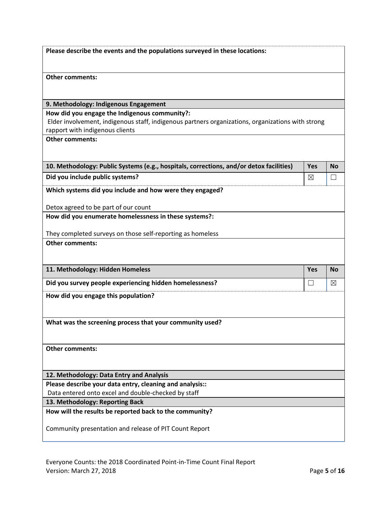| Please describe the events and the populations surveyed in these locations:                                                                                                           |                   |                   |
|---------------------------------------------------------------------------------------------------------------------------------------------------------------------------------------|-------------------|-------------------|
| <b>Other comments:</b>                                                                                                                                                                |                   |                   |
| 9. Methodology: Indigenous Engagement                                                                                                                                                 |                   |                   |
| How did you engage the Indigenous community?:<br>Elder involvement, indigenous staff, indigenous partners organizations, organizations with strong<br>rapport with indigenous clients |                   |                   |
| <b>Other comments:</b>                                                                                                                                                                |                   |                   |
| 10. Methodology: Public Systems (e.g., hospitals, corrections, and/or detox facilities)                                                                                               | Yes               | <b>No</b>         |
| Did you include public systems?                                                                                                                                                       | $\boxtimes$       | $\vert \ \ \vert$ |
| Which systems did you include and how were they engaged?                                                                                                                              |                   |                   |
| Detox agreed to be part of our count                                                                                                                                                  |                   |                   |
| How did you enumerate homelessness in these systems?:                                                                                                                                 |                   |                   |
| They completed surveys on those self-reporting as homeless                                                                                                                            |                   |                   |
| <b>Other comments:</b>                                                                                                                                                                |                   |                   |
| 11. Methodology: Hidden Homeless                                                                                                                                                      | Yes               | <b>No</b>         |
| Did you survey people experiencing hidden homelessness?                                                                                                                               | $\vert \ \ \vert$ | ⊠                 |
| How did you engage this population?                                                                                                                                                   |                   |                   |
| What was the screening process that your community used?                                                                                                                              |                   |                   |
| <b>Other comments:</b>                                                                                                                                                                |                   |                   |
| 12. Methodology: Data Entry and Analysis                                                                                                                                              |                   |                   |
| Please describe your data entry, cleaning and analysis::                                                                                                                              |                   |                   |
| Data entered onto excel and double-checked by staff                                                                                                                                   |                   |                   |
| 13. Methodology: Reporting Back                                                                                                                                                       |                   |                   |
| How will the results be reported back to the community?                                                                                                                               |                   |                   |
| Community presentation and release of PIT Count Report                                                                                                                                |                   |                   |
|                                                                                                                                                                                       |                   |                   |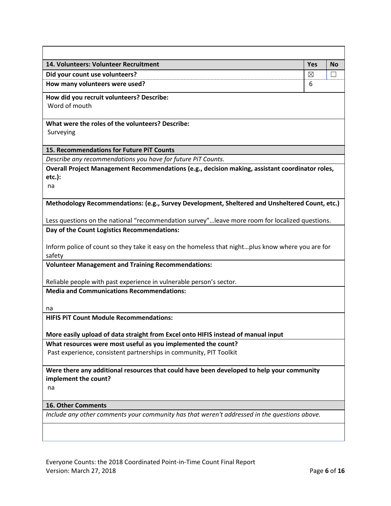| 14. Volunteers: Volunteer Recruitment                                                                                                                                                            | <b>Yes</b> | <b>No</b> |
|--------------------------------------------------------------------------------------------------------------------------------------------------------------------------------------------------|------------|-----------|
| Did your count use volunteers?                                                                                                                                                                   | ⊠          | П         |
| How many volunteers were used?                                                                                                                                                                   | 6          |           |
| How did you recruit volunteers? Describe:<br>Word of mouth                                                                                                                                       |            |           |
| What were the roles of the volunteers? Describe:<br>Surveying                                                                                                                                    |            |           |
| 15. Recommendations for Future PiT Counts                                                                                                                                                        |            |           |
| Describe any recommendations you have for future PiT Counts.                                                                                                                                     |            |           |
| Overall Project Management Recommendations (e.g., decision making, assistant coordinator roles,<br>etc.):<br>na                                                                                  |            |           |
| Methodology Recommendations: (e.g., Survey Development, Sheltered and Unsheltered Count, etc.)<br>Less questions on the national "recommendation survey"leave more room for localized questions. |            |           |
| Day of the Count Logistics Recommendations:                                                                                                                                                      |            |           |
| Inform police of count so they take it easy on the homeless that nightplus know where you are for<br>safety                                                                                      |            |           |
| <b>Volunteer Management and Training Recommendations:</b>                                                                                                                                        |            |           |
| Reliable people with past experience in vulnerable person's sector.                                                                                                                              |            |           |
| <b>Media and Communications Recommendations:</b>                                                                                                                                                 |            |           |
|                                                                                                                                                                                                  |            |           |
| na                                                                                                                                                                                               |            |           |
| <b>HIFIS PIT Count Module Recommendations:</b>                                                                                                                                                   |            |           |
| More easily upload of data straight from Excel onto HIFIS instead of manual input                                                                                                                |            |           |
| What resources were most useful as you implemented the count?                                                                                                                                    |            |           |
| Past experience, consistent partnerships in community, PIT Toolkit                                                                                                                               |            |           |
| Were there any additional resources that could have been developed to help your community<br>implement the count?<br>na                                                                          |            |           |
| <b>16. Other Comments</b>                                                                                                                                                                        |            |           |
| Include any other comments your community has that weren't addressed in the questions above.                                                                                                     |            |           |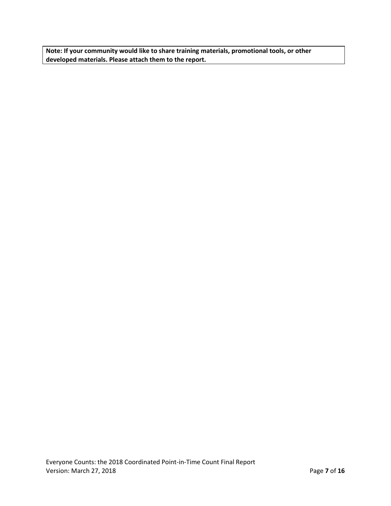**Note: If your community would like to share training materials, promotional tools, or other developed materials. Please attach them to the report.**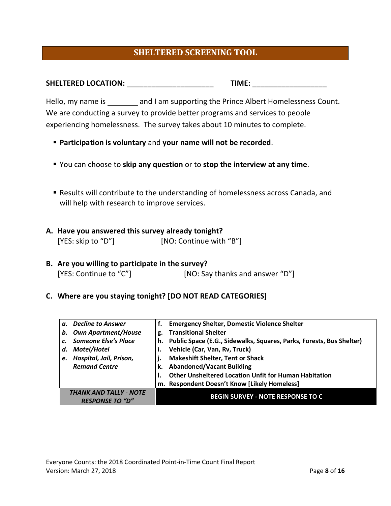# **SHELTERED SCREENING TOOL**

| <b>SHELTERED LOCATION:</b> | TIME. |  |
|----------------------------|-------|--|
|                            |       |  |

Hello, my name is \_\_\_\_\_\_\_ and I am supporting the Prince Albert Homelessness Count. We are conducting a survey to provide better programs and services to people experiencing homelessness. The survey takes about 10 minutes to complete.

- **Participation is voluntary** and **your name will not be recorded**.
- You can choose to **skip any question** or to **stop the interview at any time**.
- Results will contribute to the understanding of homelessness across Canada, and will help with research to improve services.
- **A. Have you answered this survey already tonight?**  [YES: skip to "D"] [NO: Continue with "B"]
- **B. Are you willing to participate in the survey?**  [YES: Continue to "C"] [NO: Say thanks and answer "D"]
- **C. Where are you staying tonight? [DO NOT READ CATEGORIES]**

|                 | a. Decline to Answer                             |    | <b>Emergency Shelter, Domestic Violence Shelter</b>                  |
|-----------------|--------------------------------------------------|----|----------------------------------------------------------------------|
| b.              | <b>Own Apartment/House</b>                       | g. | <b>Transitional Shelter</b>                                          |
| $\mathcal{C}$ . | Someone Else's Place                             |    | Public Space (E.G., Sidewalks, Squares, Parks, Forests, Bus Shelter) |
| d.              | Motel/Hotel                                      |    | Vehicle (Car, Van, Rv, Truck)                                        |
| e.              | Hospital, Jail, Prison,                          |    | <b>Makeshift Shelter, Tent or Shack</b>                              |
|                 | <b>Remand Centre</b>                             |    | <b>Abandoned/Vacant Building</b>                                     |
|                 |                                                  |    | <b>Other Unsheltered Location Unfit for Human Habitation</b>         |
|                 |                                                  |    | m. Respondent Doesn't Know [Likely Homeless]                         |
|                 | THANK AND TALLY - NOTE<br><b>RESPONSE TO "D"</b> |    | <b>BEGIN SURVEY - NOTE RESPONSE TO C</b>                             |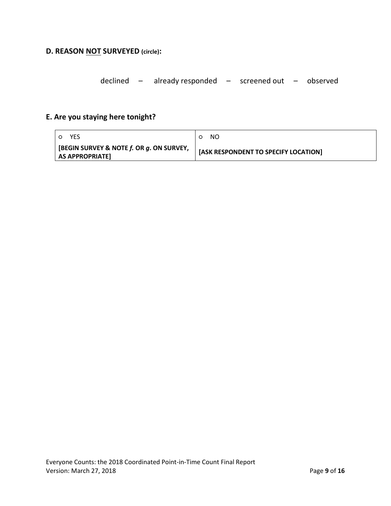# **D. REASON NOT SURVEYED (circle):**

declined – already responded – screened out – observed

# **E. Are you staying here tonight?**

| YES                                                                        | -NO<br>O                             |
|----------------------------------------------------------------------------|--------------------------------------|
| $\mid$ [BEGIN SURVEY & NOTE $f$ . OR $g$ . ON SURVEY,<br>  AS APPROPRIATE] | [ASK RESPONDENT TO SPECIFY LOCATION] |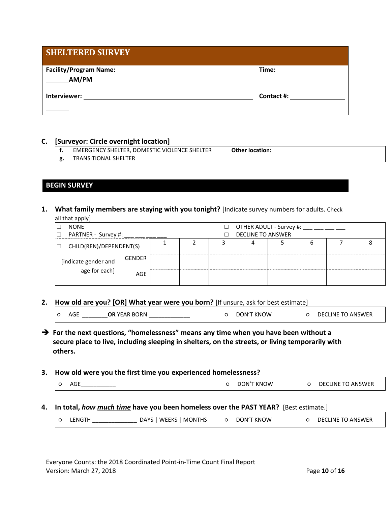| <b>SHELTERED SURVEY</b> |            |
|-------------------------|------------|
| AM/PM                   | Time:      |
| Interviewer:            | Contact #: |

#### **C. [Surveyor: Circle overnight location]**

| EMERGENCY SHELTER, DOMESTIC VIOLENCE SHELTER | <b>Other location:</b> |
|----------------------------------------------|------------------------|
| <b>TRANSITIONAL SHELTER</b>                  |                        |

# **BEGIN SURVEY**

**1. What family members are staying with you tonight?** [Indicate survey numbers for adults. Check all that apply]

| .<br><b>NONE</b>                  |               |                          |  |  | OTHER ADULT - Survey #: |  |   |  |  |
|-----------------------------------|---------------|--------------------------|--|--|-------------------------|--|---|--|--|
| PARTNER - Survey #:<br>l □        |               | <b>DECLINE TO ANSWER</b> |  |  |                         |  |   |  |  |
| CHILD(REN)/DEPENDENT(S)<br>$\Box$ |               |                          |  |  | 4                       |  | o |  |  |
| [indicate gender and              | <b>GENDER</b> |                          |  |  |                         |  |   |  |  |
| age for each]                     | AGE           |                          |  |  |                         |  |   |  |  |

**2. How old are you? [OR] What year were you born?** [If unsure, ask for best estimate]

| ⌒ | AGE | OR YEAR BORN | <b>DON'T KNOW</b> | <b>DECLINE TO ANSWER</b> |  |
|---|-----|--------------|-------------------|--------------------------|--|
|   |     |              |                   |                          |  |

- ➔ **For the next questions, "homelessness" means any time when you have been without a secure place to live, including sleeping in shelters, on the streets, or living temporarily with others.**
- **3. How old were you the first time you experienced homelessness?**

| O | $-$<br>AGL<br>___ | <b>DON'T KNOW</b> | <b>DECLINE TO ANSWER</b> |
|---|-------------------|-------------------|--------------------------|
|   |                   |                   |                          |

**4. In total,** *how much time* **have you been homeless over the PAST YEAR?** [Best estimate.]

| $\sim$<br>$\sim$<br>the contract of the contract of the contract of | $\circ$ | LENGTH | DAYS   WEEKS   MONTHS |  | DON'T KNOW |  | DECLINE TO ANSWER |
|---------------------------------------------------------------------|---------|--------|-----------------------|--|------------|--|-------------------|
|---------------------------------------------------------------------|---------|--------|-----------------------|--|------------|--|-------------------|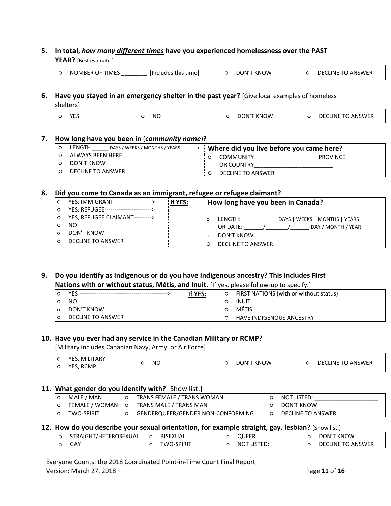# **5. In total,** *how many different times* **have you experienced homelessness over the PAST**

**YEAR?** [Best estimate.]

|  | NUMBER OF TIMES | [Includes this time] |  | DON'T KNOW |  | O DECLINE TO ANSWER |
|--|-----------------|----------------------|--|------------|--|---------------------|
|--|-----------------|----------------------|--|------------|--|---------------------|

#### **6. Have you stayed in an emergency shelter in the past year?** [Give local examples of homeless shelters]

| vcc<br>د ۱ | NΟ | DON'T KNOW | DECLINE TO ANSWER |
|------------|----|------------|-------------------|

## **7. How long have you been in** (*community name*)**?**

| LENGTH<br>DAYS / WEEKS / MONTHS / YEARS ----------> | Where did you live before you came here? |
|-----------------------------------------------------|------------------------------------------|
| ALWAYS BEEN HERE                                    | <b>COMMUNITY</b><br><b>PROVINCE</b>      |
| DON'T KNOW                                          | OR COUNTRY                               |
| DECLINE TO ANSWER                                   | DECLINE TO ANSWER                        |

## **8. Did you come to Canada as an immigrant, refugee or refugee claimant?**

| $\circ$ | YES, IMMIGRANT ------------------->     | If YES: | How long have you been in Canada?        |
|---------|-----------------------------------------|---------|------------------------------------------|
| O       | YES, REFUGEE--------------------------> |         |                                          |
| O       | YES, REFUGEE CLAIMANT--------->         |         | DAYS   WEEKS   MONTHS   YEARS<br>LENGTH: |
|         | NO                                      |         | DAY / MONTH / YEAR<br>OR DATE:           |
|         | DON'T KNOW                              |         | DON'T KNOW                               |
|         | DECLINE TO ANSWER                       |         |                                          |
|         |                                         |         | DECLINE TO ANSWER                        |

# **9. Do you identify as Indigenous or do you have Indigenous ancestry? This includes First Nations with or without status, Métis, and Inuit.** [If yes, please follow-up to specify.]

|                   | If YES: | $\circ$ | FIRST NATIONS (with or without status) |  |  |  |  |  |
|-------------------|---------|---------|----------------------------------------|--|--|--|--|--|
| NO.               |         |         | INUIT                                  |  |  |  |  |  |
| DON'T KNOW        |         |         | <b>METIS</b>                           |  |  |  |  |  |
| DECLINE TO ANSWER |         |         | <b>HAVE INDIGENOUS ANCESTRY</b>        |  |  |  |  |  |

### **10. Have you ever had any service in the Canadian Military or RCMP?**

[Military includes Canadian Navy, Army, or Air Force]

# **11. What gender do you identify with?** [Show list.]

| l O | MALE / MAN        |         | TRANS FEMALE / TRANS WOMAN        | NOT LISTED:       |
|-----|-------------------|---------|-----------------------------------|-------------------|
| ۱o  | FEMALE / WOMAN    | $\circ$ | TRANS MALE / TRANS MAN            | DON'T KNOW        |
| I O | <b>TWO-SPIRIT</b> |         | GENDERQUEER/GENDER NON-CONFORMING | DECLINE TO ANSWER |

# **12. How do you describe your sexual orientation, for example straight, gay, lesbian?** [Show list.]

| STRAIGHT/HETEROSEXUAL | BISEXUAL          | QUEER       | DON'T KNOW        |
|-----------------------|-------------------|-------------|-------------------|
| GAY                   | <b>TWO-SPIRIT</b> | NOT LISTED: | DECLINE TO ANSWER |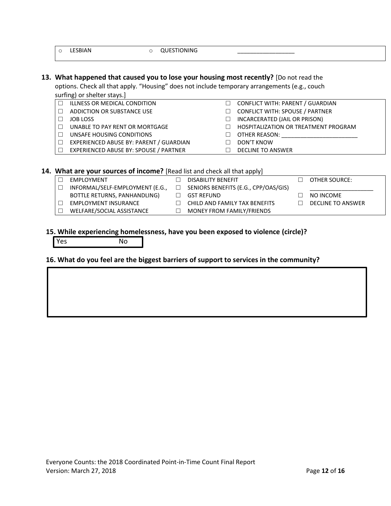o LESBIAN o QUESTIONING

#### **13. What happened that caused you to lose your housing most recently?** [Do not read the options. Check all that apply. "Housing" does not include temporary arrangements (e.g., couch surfing) or shelter stays 1

|        | <b>SUITING ISSUES</b>                   |   |                                             |  |
|--------|-----------------------------------------|---|---------------------------------------------|--|
| $\Box$ | ILLNESS OR MEDICAL CONDITION            | п | CONFLICT WITH: PARENT / GUARDIAN            |  |
| П      | ADDICTION OR SUBSTANCE USE              |   | <b>CONFLICT WITH: SPOUSE / PARTNER</b>      |  |
|        | <b>JOB LOSS</b>                         | П | INCARCERATED (JAIL OR PRISON)               |  |
| П      | UNABLE TO PAY RENT OR MORTGAGE          |   | <b>HOSPITALIZATION OR TREATMENT PROGRAM</b> |  |
| П      | UNSAFE HOUSING CONDITIONS               |   | OTHER REASON:                               |  |
| П      | EXPERIENCED ABUSE BY: PARENT / GUARDIAN | H | DON'T KNOW                                  |  |
| $\Box$ | EXPERIENCED ABUSE BY: SPOUSE / PARTNER  |   | DECLINE TO ANSWER                           |  |

### **14. What are your sources of income?** [Read list and check all that apply]

| <b>EMPLOYMENT</b>               | <b>DISABILITY BENEFIT</b>            |        | OTHER SOURCE:            |
|---------------------------------|--------------------------------------|--------|--------------------------|
| INFORMAL/SELF-EMPLOYMENT (E.G., | SENIORS BENEFITS (E.G., CPP/OAS/GIS) |        |                          |
| BOTTLE RETURNS, PANHANDLING)    | GST REFUND                           |        | NO INCOME                |
| <b>EMPLOYMENT INSURANCE</b>     | CHILD AND FAMILY TAX BENEFITS        | $\Box$ | <b>DECLINE TO ANSWER</b> |
| WELFARE/SOCIAL ASSISTANCE       | MONEY FROM FAMILY/FRIENDS            |        |                          |
|                                 |                                      |        |                          |

## **15. While experiencing homelessness, have you been exposed to violence (circle)?**

Yes No

# **16. What do you feel are the biggest barriers of support to services in the community?**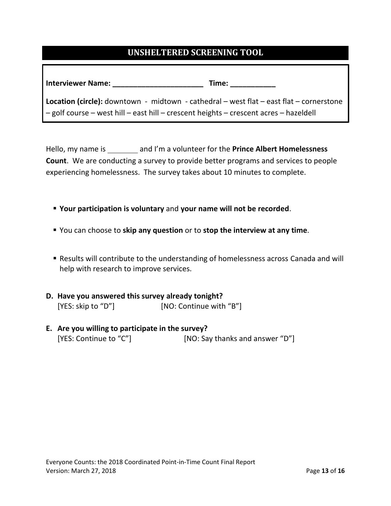# **UNSHELTERED SCREENING TOOL**

| <b>Interviewer Name:</b>                                                                       | Time:                                                                                 |  |  |  |  |  |
|------------------------------------------------------------------------------------------------|---------------------------------------------------------------------------------------|--|--|--|--|--|
| <b>Location (circle):</b> downtown - midtown - cathedral – west flat – east flat – cornerstone |                                                                                       |  |  |  |  |  |
|                                                                                                | - golf course - west hill - east hill - crescent heights - crescent acres - hazeldell |  |  |  |  |  |

Hello, my name is and I'm a volunteer for the **Prince Albert Homelessness Count**. We are conducting a survey to provide better programs and services to people experiencing homelessness. The survey takes about 10 minutes to complete.

- **Your participation is voluntary** and **your name will not be recorded**.
- You can choose to **skip any question** or to **stop the interview at any time**.
- Results will contribute to the understanding of homelessness across Canada and will help with research to improve services.
- **D. Have you answered this survey already tonight?**  [YES: skip to "D"] [NO: Continue with "B"]
- **E. Are you willing to participate in the survey?**  [YES: Continue to "C"] [NO: Say thanks and answer "D"]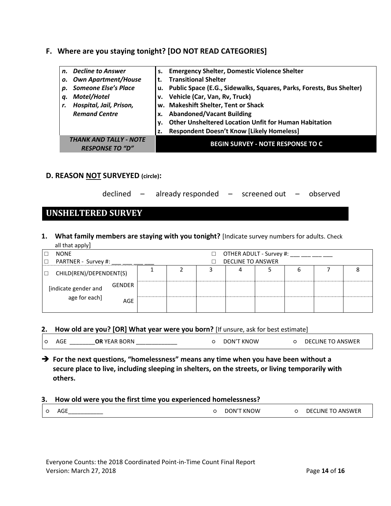# **F. Where are you staying tonight? [DO NOT READ CATEGORIES]**

| n. | <b>Decline to Answer</b>                                |    | s. Emergency Shelter, Domestic Violence Shelter                         |
|----|---------------------------------------------------------|----|-------------------------------------------------------------------------|
| о. | <b>Own Apartment/House</b>                              |    | <b>Transitional Shelter</b>                                             |
| p. | <b>Someone Else's Place</b>                             |    | u. Public Space (E.G., Sidewalks, Squares, Parks, Forests, Bus Shelter) |
| q. | Motel/Hotel                                             |    | v. Vehicle (Car, Van, Rv, Truck)                                        |
|    | Hospital, Jail, Prison,                                 |    | w. Makeshift Shelter, Tent or Shack                                     |
|    | <b>Remand Centre</b>                                    | х. | <b>Abandoned/Vacant Building</b>                                        |
|    |                                                         |    | <b>Other Unsheltered Location Unfit for Human Habitation</b>            |
|    |                                                         | z. | <b>Respondent Doesn't Know [Likely Homeless]</b>                        |
|    | <b>THANK AND TALLY - NOTE</b><br><b>RESPONSE TO "D"</b> |    | <b>BEGIN SURVEY - NOTE RESPONSE TO C</b>                                |

# **D. REASON NOT SURVEYED (circle):**

| declined |  | already responded |  | screened out - |  | – observed |
|----------|--|-------------------|--|----------------|--|------------|
|----------|--|-------------------|--|----------------|--|------------|

# **UNSHELTERED SURVEY**

**1. What family members are staying with you tonight?** [Indicate survey numbers for adults. Check all that apply

| <b>NONE</b>                       |        |  |                          | OTHER ADULT - Survey #: |  |  |
|-----------------------------------|--------|--|--------------------------|-------------------------|--|--|
| PARTNER - Survey #:               |        |  | <b>DECLINE TO ANSWER</b> |                         |  |  |
| CHILD(REN)/DEPENDENT(S)<br>$\Box$ |        |  |                          |                         |  |  |
| [indicate gender and              | GENDER |  |                          |                         |  |  |
| age for each]                     | AGE    |  |                          |                         |  |  |

### **2. How old are you? [OR] What year were you born?** [If unsure, ask for best estimate]

| $\circ$ | AGF | <b>OR YEAR BORN</b> | DON'T KNOW | <b>DECLINE TO ANSWER</b> |
|---------|-----|---------------------|------------|--------------------------|
|         |     |                     |            |                          |

➔ **For the next questions, "homelessness" means any time when you have been without a secure place to live, including sleeping in shelters, on the streets, or living temporarily with others.**

#### **3. How old were you the first time you experienced homelessness?**

| AGE | DON'T KNOW | <b>DECLINE TO ANSWER</b> |
|-----|------------|--------------------------|
|     |            |                          |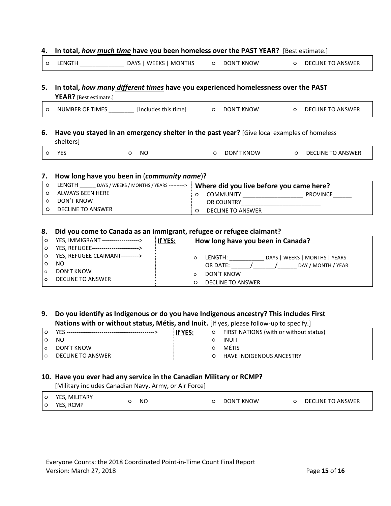#### **4. In total,** *how much time* **have you been homeless over the PAST YEAR?** [Best estimate.]

| o LENGTH | DAYS   WEEKS   MONTHS | DON'T KNOW | O DECLINE TO ANSWER |
|----------|-----------------------|------------|---------------------|
|          |                       |            |                     |

# **5. In total,** *how many different times* **have you experienced homelessness over the PAST YEAR?** [Best estimate.]

|  |  | <b>NUMBER OF TIMES</b> | [Includes this time] |  | DON'T KNOW |  | <b>DECLINE TO ANSWER</b> |
|--|--|------------------------|----------------------|--|------------|--|--------------------------|
|--|--|------------------------|----------------------|--|------------|--|--------------------------|

## **6. Have you stayed in an emergency shelter in the past year?** [Give local examples of homeless shelters]

| O YES |  | NO. | O DON'T KNOW | O DECLINE TO ANSWER |
|-------|--|-----|--------------|---------------------|
|       |  |     |              |                     |

#### **7. How long have you been in** (*community name*)**?**

| LENGTH<br>DAYS / WEEKS / MONTHS / YEARS ----------> | Where did you live before you came here? |
|-----------------------------------------------------|------------------------------------------|
| ALWAYS BEEN HERE                                    | <b>PROVINCE</b><br><b>COMMUNITY</b>      |
| DON'T KNOW                                          | OR COUNTRY                               |
| DECLINE TO ANSWER                                   | DECLINE TO ANSWER                        |

#### **8. Did you come to Canada as an immigrant, refugee or refugee claimant?**

| $\circ$<br>$\circ$ | YES, IMMIGRANT -------------------><br>YES, REFUGEE-------------------------> | If YES: | How long have you been in Canada?            |  |  |  |  |  |
|--------------------|-------------------------------------------------------------------------------|---------|----------------------------------------------|--|--|--|--|--|
| $\circ$            | YES, REFUGEE CLAIMANT--------->                                               |         | DAYS   WEEKS   MONTHS   YEARS<br>LENGTH:     |  |  |  |  |  |
| $\Omega$           | NO.<br>DON'T KNOW                                                             |         | DAY / MONTH / YEAR<br>OR DATE:<br>DON'T KNOW |  |  |  |  |  |
| $\circ$            | <b>DECLINE TO ANSWER</b>                                                      |         | <b>DECLINE TO ANSWER</b>                     |  |  |  |  |  |

# **9. Do you identify as Indigenous or do you have Indigenous ancestry? This includes First Nations with or without status, Métis, and Inuit.** [If yes, please follow-up to specify.]

|     |                   | If YES: | FIRST NATIONS (with or without status) |
|-----|-------------------|---------|----------------------------------------|
|     | NO.               |         | INUIT                                  |
| l o | DON'T KNOW        |         | <b>METIS</b>                           |
| l O | DECLINE TO ANSWER |         | <b>HAVE INDIGENOUS ANCESTRY</b>        |

### **10. Have you ever had any service in the Canadian Military or RCMP?**

[Military includes Canadian Navy, Army, or Air Force]

| l O<br>$\circ$ | YES. MILITARY<br>YES, RCMP | NO | DON'T KNOW | $\circ$ | DECLINE TO ANSWER |
|----------------|----------------------------|----|------------|---------|-------------------|
|                |                            |    |            |         |                   |